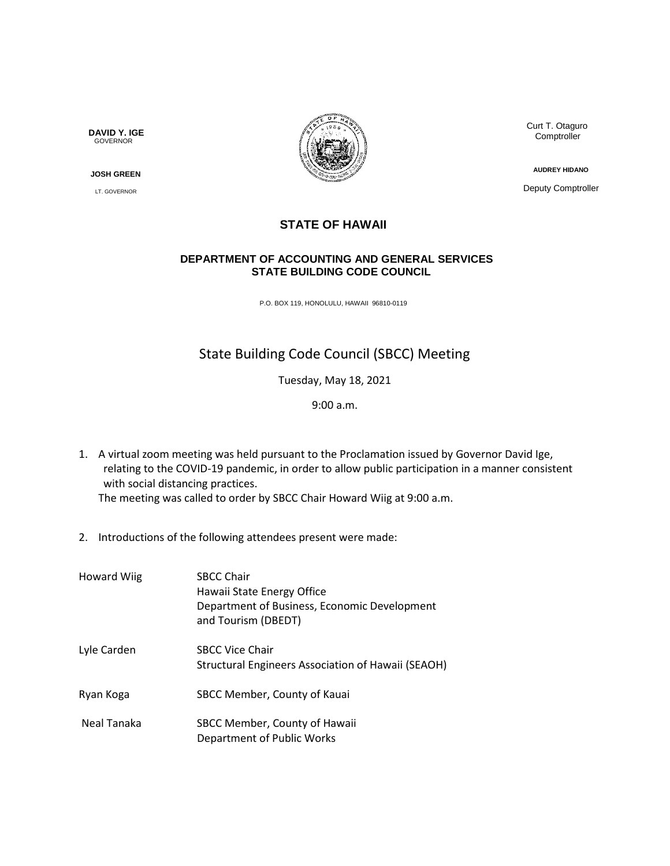**DAVID Y. IGE** GOVERNOR

 **JOSH GREEN**

LT. GOVERNOR



 Curt T. Otaguro **Comptroller** 

**AUDREY HIDANO**

Deputy Comptroller

## **STATE OF HAWAII**

## **DEPARTMENT OF ACCOUNTING AND GENERAL SERVICES STATE BUILDING CODE COUNCIL**

P.O. BOX 119, HONOLULU, HAWAII 96810-0119

## State Building Code Council (SBCC) Meeting

Tuesday, May 18, 2021

9:00 a.m.

1. A virtual zoom meeting was held pursuant to the Proclamation issued by Governor David Ige, relating to the COVID-19 pandemic, in order to allow public participation in a manner consistent with social distancing practices.

The meeting was called to order by SBCC Chair Howard Wiig at 9:00 a.m.

2. Introductions of the following attendees present were made:

| <b>Howard Wiig</b> | <b>SBCC Chair</b><br>Hawaii State Energy Office<br>Department of Business, Economic Development<br>and Tourism (DBEDT) |
|--------------------|------------------------------------------------------------------------------------------------------------------------|
| Lyle Carden        | <b>SBCC Vice Chair</b><br>Structural Engineers Association of Hawaii (SEAOH)                                           |
| Ryan Koga          | SBCC Member, County of Kauai                                                                                           |
| Neal Tanaka        | SBCC Member, County of Hawaii<br>Department of Public Works                                                            |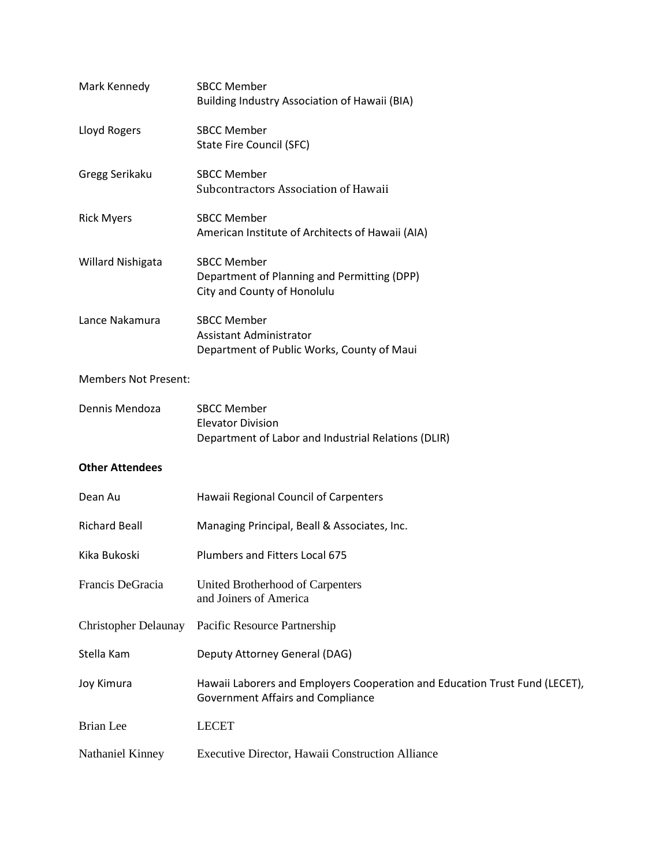| Mark Kennedy                | <b>SBCC Member</b><br>Building Industry Association of Hawaii (BIA)                                                     |
|-----------------------------|-------------------------------------------------------------------------------------------------------------------------|
| Lloyd Rogers                | <b>SBCC Member</b><br><b>State Fire Council (SFC)</b>                                                                   |
| Gregg Serikaku              | <b>SBCC Member</b><br>Subcontractors Association of Hawaii                                                              |
| <b>Rick Myers</b>           | <b>SBCC Member</b><br>American Institute of Architects of Hawaii (AIA)                                                  |
| Willard Nishigata           | <b>SBCC Member</b><br>Department of Planning and Permitting (DPP)<br>City and County of Honolulu                        |
| Lance Nakamura              | <b>SBCC Member</b><br><b>Assistant Administrator</b><br>Department of Public Works, County of Maui                      |
| <b>Members Not Present:</b> |                                                                                                                         |
| Dennis Mendoza              | <b>SBCC Member</b><br><b>Elevator Division</b><br>Department of Labor and Industrial Relations (DLIR)                   |
| <b>Other Attendees</b>      |                                                                                                                         |
| Dean Au                     | Hawaii Regional Council of Carpenters                                                                                   |
| <b>Richard Beall</b>        | Managing Principal, Beall & Associates, Inc.                                                                            |
| Kika Bukoski                | <b>Plumbers and Fitters Local 675</b>                                                                                   |
| Francis DeGracia            | United Brotherhood of Carpenters<br>and Joiners of America                                                              |
| <b>Christopher Delaunay</b> | Pacific Resource Partnership                                                                                            |
| Stella Kam                  | Deputy Attorney General (DAG)                                                                                           |
| Joy Kimura                  | Hawaii Laborers and Employers Cooperation and Education Trust Fund (LECET),<br><b>Government Affairs and Compliance</b> |
| <b>Brian</b> Lee            | <b>LECET</b>                                                                                                            |
| Nathaniel Kinney            | Executive Director, Hawaii Construction Alliance                                                                        |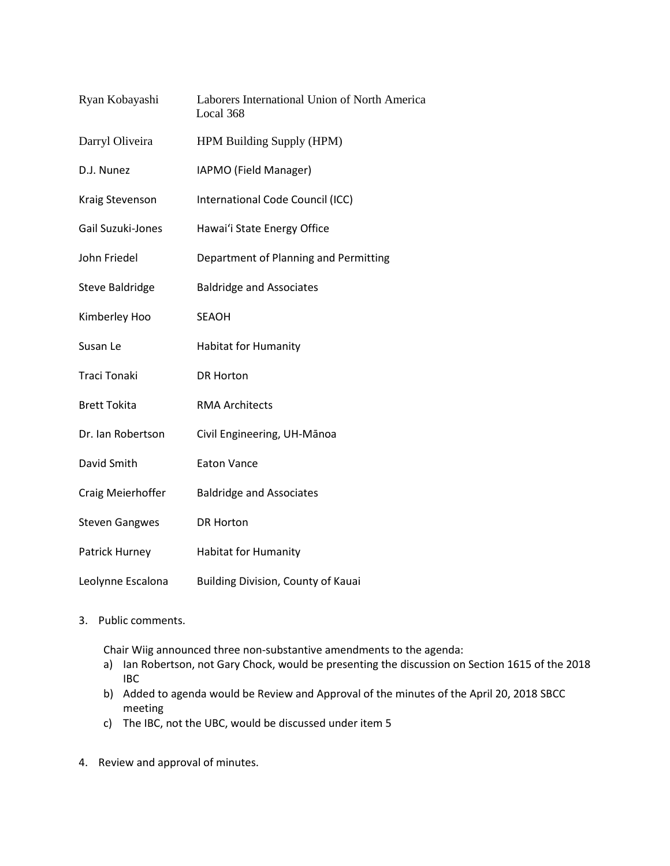| Ryan Kobayashi         | Laborers International Union of North America<br>Local 368 |
|------------------------|------------------------------------------------------------|
| Darryl Oliveira        | HPM Building Supply (HPM)                                  |
| D.J. Nunez             | IAPMO (Field Manager)                                      |
| Kraig Stevenson        | International Code Council (ICC)                           |
| Gail Suzuki-Jones      | Hawai'i State Energy Office                                |
| John Friedel           | Department of Planning and Permitting                      |
| <b>Steve Baldridge</b> | <b>Baldridge and Associates</b>                            |
| Kimberley Hoo          | <b>SEAOH</b>                                               |
| Susan Le               | <b>Habitat for Humanity</b>                                |
| <b>Traci Tonaki</b>    | <b>DR Horton</b>                                           |
| <b>Brett Tokita</b>    | <b>RMA Architects</b>                                      |
| Dr. Ian Robertson      | Civil Engineering, UH-Mānoa                                |
| David Smith            | <b>Eaton Vance</b>                                         |
| Craig Meierhoffer      | <b>Baldridge and Associates</b>                            |
| <b>Steven Gangwes</b>  | <b>DR Horton</b>                                           |
| Patrick Hurney         | <b>Habitat for Humanity</b>                                |
| Leolynne Escalona      | Building Division, County of Kauai                         |

3. Public comments.

Chair Wiig announced three non-substantive amendments to the agenda:

- a) Ian Robertson, not Gary Chock, would be presenting the discussion on Section 1615 of the 2018 IBC
- b) Added to agenda would be Review and Approval of the minutes of the April 20, 2018 SBCC meeting
- c) The IBC, not the UBC, would be discussed under item 5
- 4. Review and approval of minutes.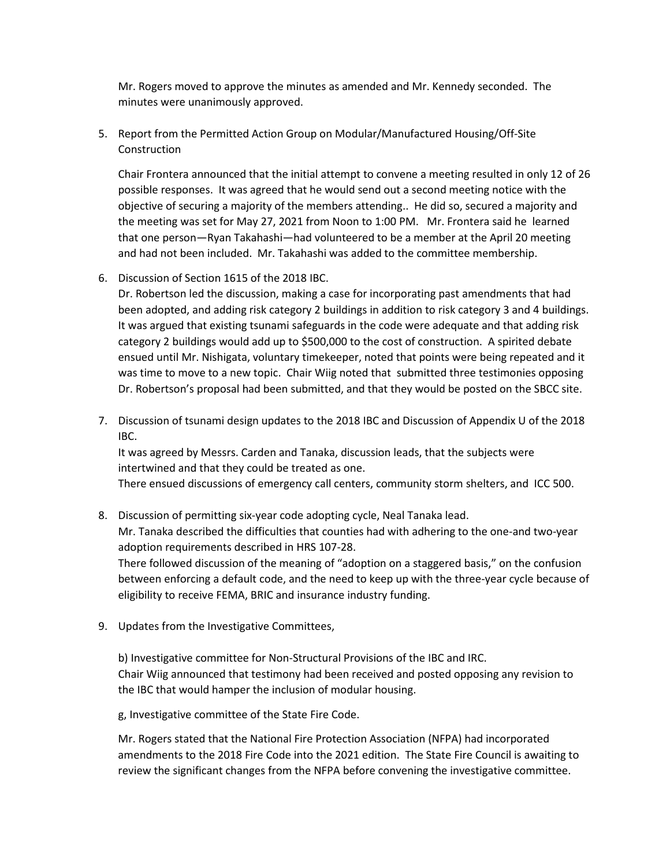Mr. Rogers moved to approve the minutes as amended and Mr. Kennedy seconded. The minutes were unanimously approved.

5. Report from the Permitted Action Group on Modular/Manufactured Housing/Off-Site Construction

Chair Frontera announced that the initial attempt to convene a meeting resulted in only 12 of 26 possible responses. It was agreed that he would send out a second meeting notice with the objective of securing a majority of the members attending.. He did so, secured a majority and the meeting was set for May 27, 2021 from Noon to 1:00 PM. Mr. Frontera said he learned that one person—Ryan Takahashi—had volunteered to be a member at the April 20 meeting and had not been included. Mr. Takahashi was added to the committee membership.

6. Discussion of Section 1615 of the 2018 IBC.

Dr. Robertson led the discussion, making a case for incorporating past amendments that had been adopted, and adding risk category 2 buildings in addition to risk category 3 and 4 buildings. It was argued that existing tsunami safeguards in the code were adequate and that adding risk category 2 buildings would add up to \$500,000 to the cost of construction. A spirited debate ensued until Mr. Nishigata, voluntary timekeeper, noted that points were being repeated and it was time to move to a new topic. Chair Wiig noted that submitted three testimonies opposing Dr. Robertson's proposal had been submitted, and that they would be posted on the SBCC site.

7. Discussion of tsunami design updates to the 2018 IBC and Discussion of Appendix U of the 2018 IBC.

It was agreed by Messrs. Carden and Tanaka, discussion leads, that the subjects were intertwined and that they could be treated as one.

There ensued discussions of emergency call centers, community storm shelters, and ICC 500.

- 8. Discussion of permitting six-year code adopting cycle, Neal Tanaka lead. Mr. Tanaka described the difficulties that counties had with adhering to the one-and two-year adoption requirements described in HRS 107-28. There followed discussion of the meaning of "adoption on a staggered basis," on the confusion between enforcing a default code, and the need to keep up with the three-year cycle because of eligibility to receive FEMA, BRIC and insurance industry funding.
- 9. Updates from the Investigative Committees,

b) Investigative committee for Non-Structural Provisions of the IBC and IRC. Chair Wiig announced that testimony had been received and posted opposing any revision to the IBC that would hamper the inclusion of modular housing.

g, Investigative committee of the State Fire Code.

Mr. Rogers stated that the National Fire Protection Association (NFPA) had incorporated amendments to the 2018 Fire Code into the 2021 edition. The State Fire Council is awaiting to review the significant changes from the NFPA before convening the investigative committee.